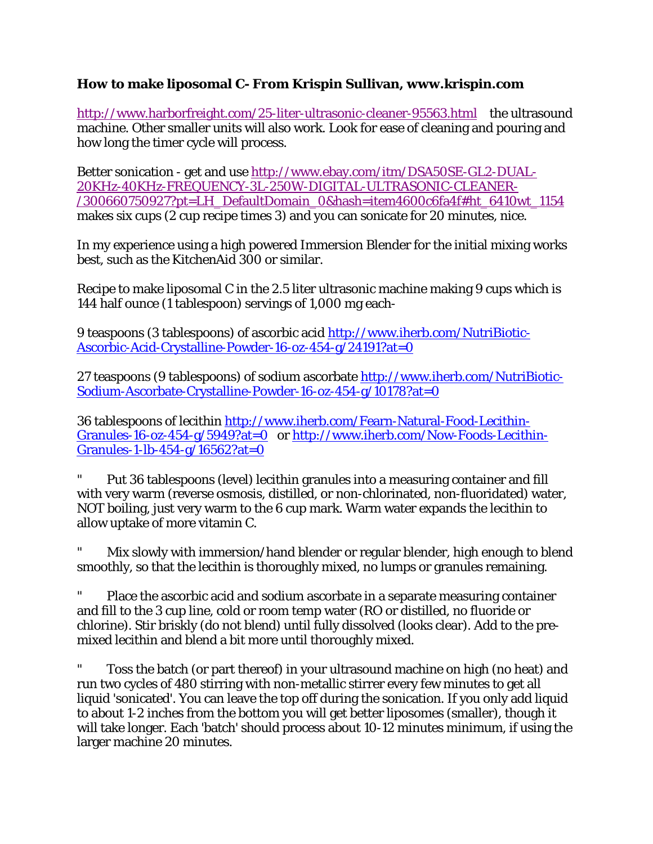## **How to make liposomal C- From Krispin Sullivan, www.krispin.com**

http://www.harborfreight.com/25-liter-ultrasonic-cleaner-95563.html the ultrasound machine. Other smaller units will also work. Look for ease of cleaning and pouring and how long the timer cycle will process.

Better sonication - get and use http://www.ebay.com/itm/DSA50SE-GL2-DUAL-20KHz-40KHz-FREQUENCY-3L-250W-DIGITAL-ULTRASONIC-CLEANER- /300660750927?pt=LH\_DefaultDomain\_0&hash=item4600c6fa4f#ht\_6410wt\_1154 makes six cups (2 cup recipe times 3) and you can sonicate for 20 minutes, nice.

In my experience using a high powered Immersion Blender for the initial mixing works best, such as the KitchenAid 300 or similar.

Recipe to make liposomal C in the 2.5 liter ultrasonic machine making 9 cups which is 144 half ounce (1 tablespoon) servings of 1,000 mg each-

9 teaspoons (3 tablespoons) of ascorbic acid http://www.iherb.com/NutriBiotic-Ascorbic-Acid-Crystalline-Powder-16-oz-454-g/24191?at=0

27 teaspoons (9 tablespoons) of sodium ascorbate http://www.iherb.com/NutriBiotic-Sodium-Ascorbate-Crystalline-Powder-16-oz-454-g/10178?at=0

36 tablespoons of lecithin http://www.iherb.com/Fearn-Natural-Food-Lecithin-Granules-16-oz-454-g/5949?at=0 or http://www.iherb.com/Now-Foods-Lecithin-Granules-1-lb-454-g/16562?at=0

" Put 36 tablespoons (level) lecithin granules into a measuring container and fill with very warm (reverse osmosis, distilled, or non-chlorinated, non-fluoridated) water, NOT boiling, just very warm to the 6 cup mark. Warm water expands the lecithin to allow uptake of more vitamin C.

Mix slowly with immersion/hand blender or regular blender, high enough to blend smoothly, so that the lecithin is thoroughly mixed, no lumps or granules remaining.

Place the ascorbic acid and sodium ascorbate in a separate measuring container and fill to the 3 cup line, cold or room temp water (RO or distilled, no fluoride or chlorine). Stir briskly (do not blend) until fully dissolved (looks clear). Add to the premixed lecithin and blend a bit more until thoroughly mixed.

Toss the batch (or part thereof) in your ultrasound machine on high (no heat) and run two cycles of 480 stirring with non-metallic stirrer every few minutes to get all liquid 'sonicated'. You can leave the top off during the sonication. If you only add liquid to about 1-2 inches from the bottom you will get better liposomes (smaller), though it will take longer. Each 'batch' should process about 10-12 minutes minimum, if using the larger machine 20 minutes.